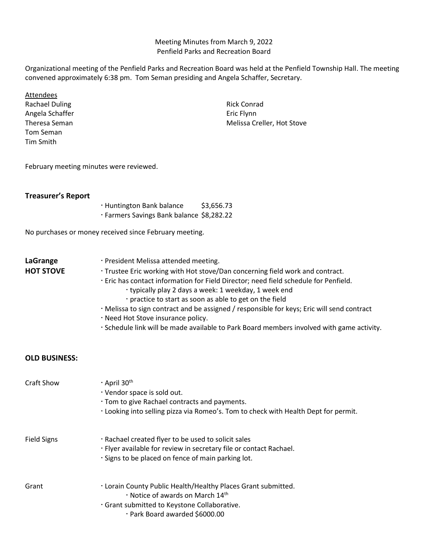## Meeting Minutes from March 9, 2022 Penfield Parks and Recreation Board

Organizational meeting of the Penfield Parks and Recreation Board was held at the Penfield Township Hall. The meeting convened approximately 6:38 pm. Tom Seman presiding and Angela Schaffer, Secretary.

| Attendees<br><b>Rachael Duling</b><br>Angela Schaffer<br>Theresa Seman<br>Tom Seman<br>Tim Smith |                                                                                                                                                                                                                                                                                                                                                                                                                                                                                                                                                                     | <b>Rick Conrad</b><br>Eric Flynn<br>Melissa Creller, Hot Stove                      |
|--------------------------------------------------------------------------------------------------|---------------------------------------------------------------------------------------------------------------------------------------------------------------------------------------------------------------------------------------------------------------------------------------------------------------------------------------------------------------------------------------------------------------------------------------------------------------------------------------------------------------------------------------------------------------------|-------------------------------------------------------------------------------------|
| February meeting minutes were reviewed.                                                          |                                                                                                                                                                                                                                                                                                                                                                                                                                                                                                                                                                     |                                                                                     |
| <b>Treasurer's Report</b>                                                                        | · Huntington Bank balance<br>\$3,656.73<br>· Farmers Savings Bank balance \$8,282.22                                                                                                                                                                                                                                                                                                                                                                                                                                                                                |                                                                                     |
| No purchases or money received since February meeting.                                           |                                                                                                                                                                                                                                                                                                                                                                                                                                                                                                                                                                     |                                                                                     |
| LaGrange<br><b>HOT STOVE</b>                                                                     | · President Melissa attended meeting.<br>· Trustee Eric working with Hot stove/Dan concerning field work and contract.<br>· Eric has contact information for Field Director; need field schedule for Penfield.<br>· typically play 2 days a week: 1 weekday, 1 week end<br>· practice to start as soon as able to get on the field<br>· Melissa to sign contract and be assigned / responsible for keys; Eric will send contract<br>· Need Hot Stove insurance policy.<br>· Schedule link will be made available to Park Board members involved with game activity. |                                                                                     |
| <b>OLD BUSINESS:</b>                                                                             |                                                                                                                                                                                                                                                                                                                                                                                                                                                                                                                                                                     |                                                                                     |
| <b>Craft Show</b>                                                                                | $\cdot$ April 30 <sup>th</sup><br>· Vendor space is sold out.<br>· Tom to give Rachael contracts and payments.                                                                                                                                                                                                                                                                                                                                                                                                                                                      | · Looking into selling pizza via Romeo's. Tom to check with Health Dept for permit. |
| <b>Field Signs</b>                                                                               | · Rachael created flyer to be used to solicit sales<br>· Flyer available for review in secretary file or contact Rachael.<br>· Signs to be placed on fence of main parking lot.                                                                                                                                                                                                                                                                                                                                                                                     |                                                                                     |
| Grant                                                                                            | . Lorain County Public Health/Healthy Places Grant submitted.<br>· Notice of awards on March 14th<br>· Grant submitted to Keystone Collaborative.<br>· Park Board awarded \$6000.00                                                                                                                                                                                                                                                                                                                                                                                 |                                                                                     |